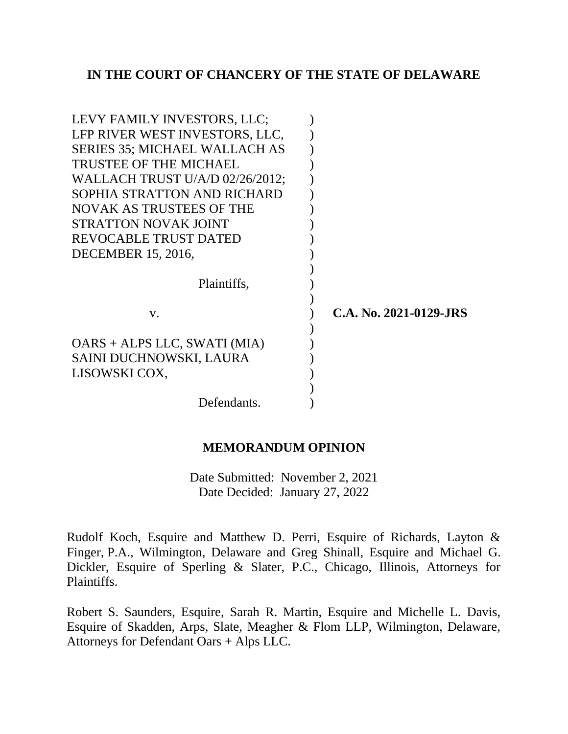## **IN THE COURT OF CHANCERY OF THE STATE OF DELAWARE**

| C.A. No. 2021-0129-JRS |
|------------------------|
|                        |
|                        |
|                        |
|                        |
|                        |
|                        |
|                        |

### **MEMORANDUM OPINION**

Date Submitted: November 2, 2021 Date Decided: January 27, 2022

Rudolf Koch, Esquire and Matthew D. Perri, Esquire of Richards, Layton & Finger, P.A., Wilmington, Delaware and Greg Shinall, Esquire and Michael G. Dickler, Esquire of Sperling & Slater, P.C., Chicago, Illinois, Attorneys for Plaintiffs.

Robert S. Saunders, Esquire, Sarah R. Martin, Esquire and Michelle L. Davis, Esquire of Skadden, Arps, Slate, Meagher & Flom LLP, Wilmington, Delaware, Attorneys for Defendant Oars + Alps LLC.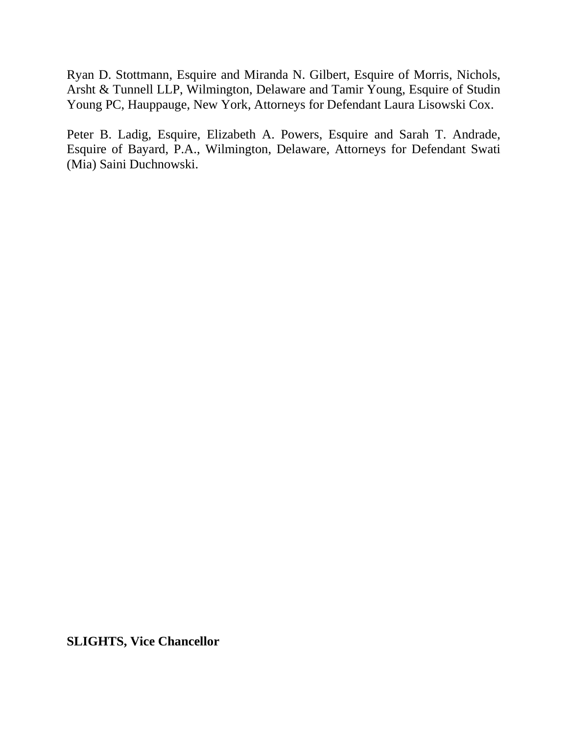Ryan D. Stottmann, Esquire and Miranda N. Gilbert, Esquire of Morris, Nichols, Arsht & Tunnell LLP, Wilmington, Delaware and Tamir Young, Esquire of Studin Young PC, Hauppauge, New York, Attorneys for Defendant Laura Lisowski Cox.

Peter B. Ladig, Esquire, Elizabeth A. Powers, Esquire and Sarah T. Andrade, Esquire of Bayard, P.A., Wilmington, Delaware, Attorneys for Defendant Swati (Mia) Saini Duchnowski.

**SLIGHTS, Vice Chancellor**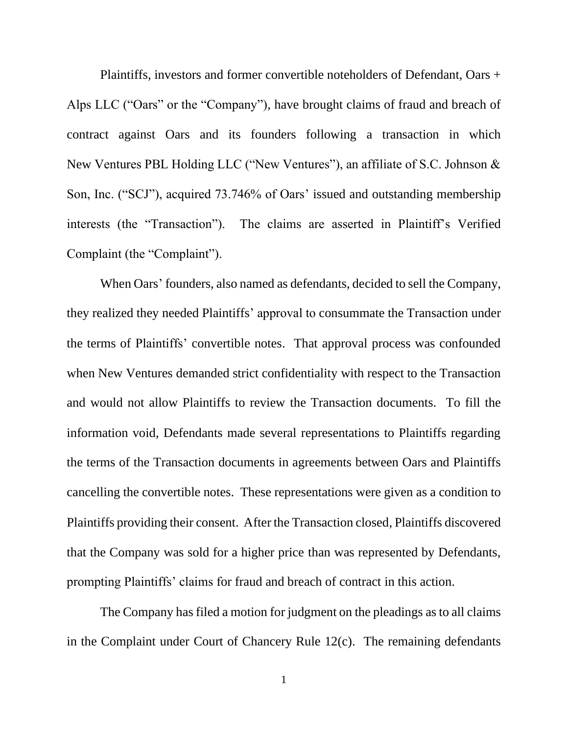Plaintiffs, investors and former convertible noteholders of Defendant, Oars + Alps LLC ("Oars" or the "Company"), have brought claims of fraud and breach of contract against Oars and its founders following a transaction in which New Ventures PBL Holding LLC ("New Ventures"), an affiliate of S.C. Johnson & Son, Inc. ("SCJ"), acquired 73.746% of Oars' issued and outstanding membership interests (the "Transaction"). The claims are asserted in Plaintiff's Verified Complaint (the "Complaint").

When Oars' founders, also named as defendants, decided to sell the Company, they realized they needed Plaintiffs' approval to consummate the Transaction under the terms of Plaintiffs' convertible notes. That approval process was confounded when New Ventures demanded strict confidentiality with respect to the Transaction and would not allow Plaintiffs to review the Transaction documents. To fill the information void, Defendants made several representations to Plaintiffs regarding the terms of the Transaction documents in agreements between Oars and Plaintiffs cancelling the convertible notes. These representations were given as a condition to Plaintiffs providing their consent. After the Transaction closed, Plaintiffs discovered that the Company was sold for a higher price than was represented by Defendants, prompting Plaintiffs' claims for fraud and breach of contract in this action.

The Company has filed a motion for judgment on the pleadings as to all claims in the Complaint under Court of Chancery Rule 12(c). The remaining defendants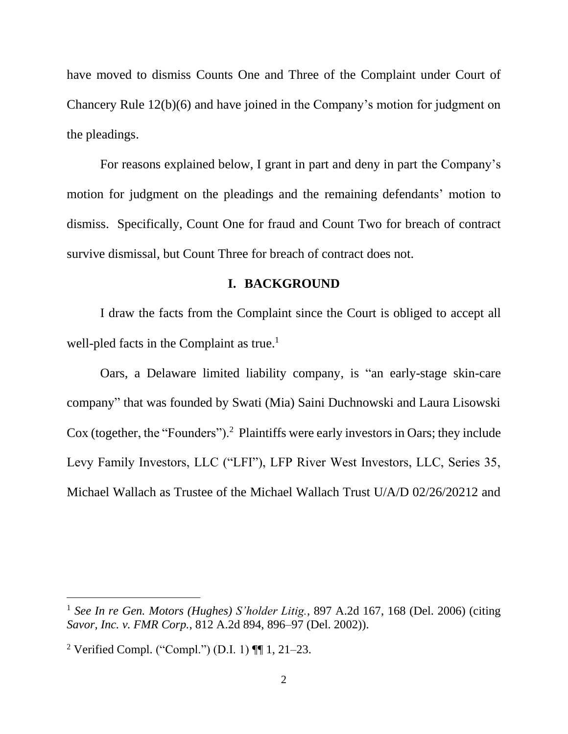have moved to dismiss Counts One and Three of the Complaint under Court of Chancery Rule 12(b)(6) and have joined in the Company's motion for judgment on the pleadings.

For reasons explained below, I grant in part and deny in part the Company's motion for judgment on the pleadings and the remaining defendants' motion to dismiss. Specifically, Count One for fraud and Count Two for breach of contract survive dismissal, but Count Three for breach of contract does not.

#### **I. BACKGROUND**

I draw the facts from the Complaint since the Court is obliged to accept all well-pled facts in the Complaint as true.<sup>1</sup>

Oars, a Delaware limited liability company, is "an early-stage skin-care company" that was founded by Swati (Mia) Saini Duchnowski and Laura Lisowski Cox (together, the "Founders").<sup>2</sup> Plaintiffs were early investors in Oars; they include Levy Family Investors, LLC ("LFI"), LFP River West Investors, LLC, Series 35, Michael Wallach as Trustee of the Michael Wallach Trust U/A/D 02/26/20212 and

<sup>1</sup> *See In re Gen. Motors (Hughes) S'holder Litig.*, 897 A.2d 167, 168 (Del. 2006) (citing *Savor, Inc. v. FMR Corp.*, 812 A.2d 894, 896–97 (Del. 2002)).

<sup>&</sup>lt;sup>2</sup> Verified Compl. ("Compl.") (D.I. 1)  $\P$  1, 21–23.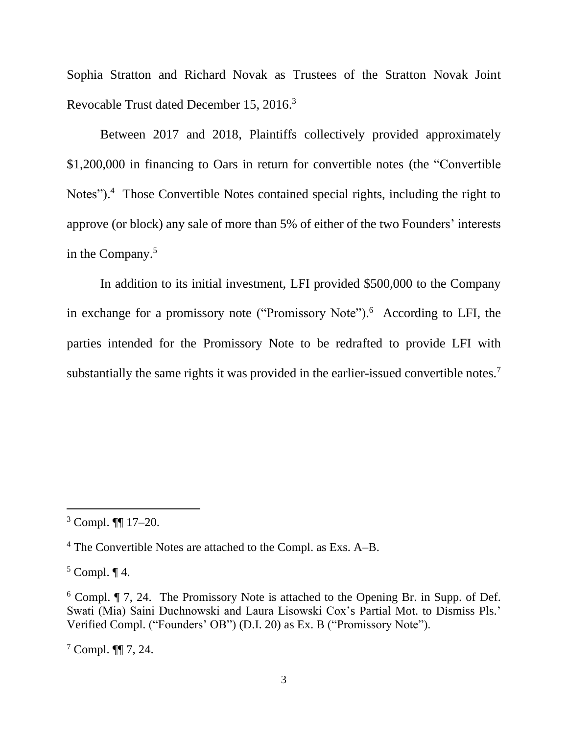Sophia Stratton and Richard Novak as Trustees of the Stratton Novak Joint Revocable Trust dated December 15, 2016.<sup>3</sup>

Between 2017 and 2018, Plaintiffs collectively provided approximately \$1,200,000 in financing to Oars in return for convertible notes (the "Convertible Notes"). <sup>4</sup> Those Convertible Notes contained special rights, including the right to approve (or block) any sale of more than 5% of either of the two Founders' interests in the Company.<sup>5</sup>

In addition to its initial investment, LFI provided \$500,000 to the Company in exchange for a promissory note ("Promissory Note"). <sup>6</sup> According to LFI, the parties intended for the Promissory Note to be redrafted to provide LFI with substantially the same rights it was provided in the earlier-issued convertible notes.<sup>7</sup>

 $5$  Compl.  $\P$  4.

 $3$  Compl. **[1]** 17–20.

<sup>4</sup> The Convertible Notes are attached to the Compl. as Exs. A–B.

<sup>6</sup> Compl. ¶ 7, 24. The Promissory Note is attached to the Opening Br. in Supp. of Def. Swati (Mia) Saini Duchnowski and Laura Lisowski Cox's Partial Mot. to Dismiss Pls.' Verified Compl. ("Founders' OB") (D.I. 20) as Ex. B ("Promissory Note").

<sup>7</sup> Compl. ¶¶ 7, 24.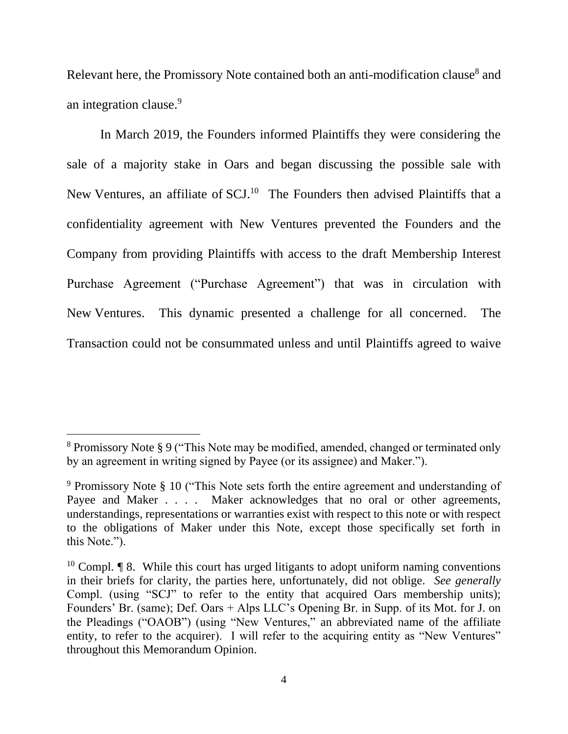Relevant here, the Promissory Note contained both an anti-modification clause<sup>8</sup> and an integration clause.<sup>9</sup>

In March 2019, the Founders informed Plaintiffs they were considering the sale of a majority stake in Oars and began discussing the possible sale with New Ventures, an affiliate of SCJ.<sup>10</sup> The Founders then advised Plaintiffs that a confidentiality agreement with New Ventures prevented the Founders and the Company from providing Plaintiffs with access to the draft Membership Interest Purchase Agreement ("Purchase Agreement") that was in circulation with New Ventures. This dynamic presented a challenge for all concerned. The Transaction could not be consummated unless and until Plaintiffs agreed to waive

<sup>8</sup> Promissory Note § 9 ("This Note may be modified, amended, changed or terminated only by an agreement in writing signed by Payee (or its assignee) and Maker.").

<sup>9</sup> Promissory Note § 10 ("This Note sets forth the entire agreement and understanding of Payee and Maker . . . . Maker acknowledges that no oral or other agreements, understandings, representations or warranties exist with respect to this note or with respect to the obligations of Maker under this Note, except those specifically set forth in this Note.").

<sup>&</sup>lt;sup>10</sup> Compl.  $\P$  8. While this court has urged litigants to adopt uniform naming conventions in their briefs for clarity, the parties here, unfortunately, did not oblige. *See generally*  Compl. (using "SCJ" to refer to the entity that acquired Oars membership units); Founders' Br. (same); Def. Oars + Alps LLC's Opening Br. in Supp. of its Mot. for J. on the Pleadings ("OAOB") (using "New Ventures," an abbreviated name of the affiliate entity, to refer to the acquirer). I will refer to the acquiring entity as "New Ventures" throughout this Memorandum Opinion.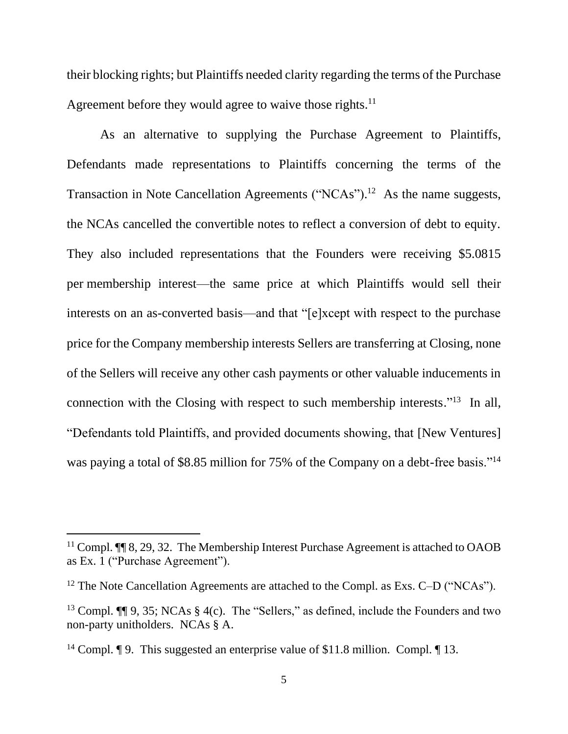their blocking rights; but Plaintiffs needed clarity regarding the terms of the Purchase Agreement before they would agree to waive those rights.<sup>11</sup>

As an alternative to supplying the Purchase Agreement to Plaintiffs, Defendants made representations to Plaintiffs concerning the terms of the Transaction in Note Cancellation Agreements ("NCAs").<sup>12</sup> As the name suggests, the NCAs cancelled the convertible notes to reflect a conversion of debt to equity. They also included representations that the Founders were receiving \$5.0815 per membership interest—the same price at which Plaintiffs would sell their interests on an as-converted basis—and that "[e]xcept with respect to the purchase price for the Company membership interests Sellers are transferring at Closing, none of the Sellers will receive any other cash payments or other valuable inducements in connection with the Closing with respect to such membership interests."<sup>13</sup> In all, "Defendants told Plaintiffs, and provided documents showing, that [New Ventures] was paying a total of \$8.85 million for 75% of the Company on a debt-free basis."<sup>14</sup>

<sup>&</sup>lt;sup>11</sup> Compl.  $\P$   $\parallel$  8, 29, 32. The Membership Interest Purchase Agreement is attached to OAOB as Ex. 1 ("Purchase Agreement").

<sup>&</sup>lt;sup>12</sup> The Note Cancellation Agreements are attached to the Compl. as Exs. C–D ("NCAs").

<sup>&</sup>lt;sup>13</sup> Compl.  $\P\P$  9, 35; NCAs § 4(c). The "Sellers," as defined, include the Founders and two non-party unitholders. NCAs § A.

<sup>&</sup>lt;sup>14</sup> Compl. **[9.** This suggested an enterprise value of \$11.8 million. Compl. **[13.**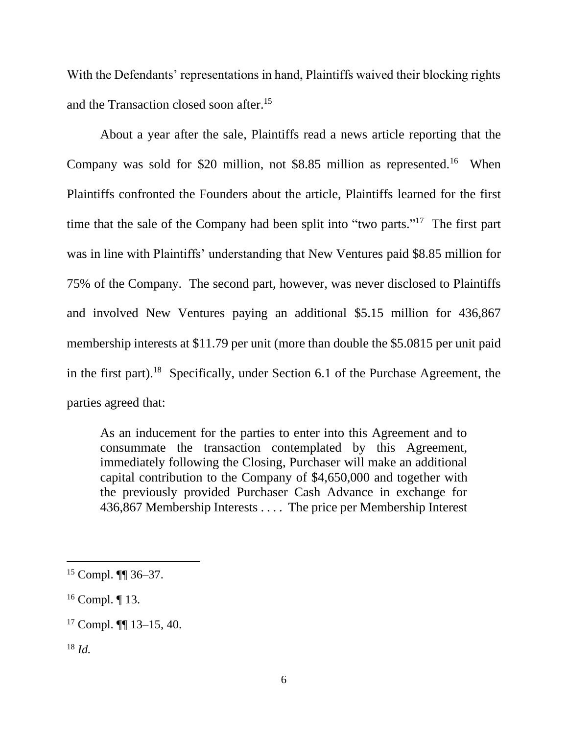With the Defendants' representations in hand, Plaintiffs waived their blocking rights and the Transaction closed soon after. 15

About a year after the sale, Plaintiffs read a news article reporting that the Company was sold for \$20 million, not \$8.85 million as represented.<sup>16</sup> When Plaintiffs confronted the Founders about the article, Plaintiffs learned for the first time that the sale of the Company had been split into "two parts."<sup>17</sup> The first part was in line with Plaintiffs' understanding that New Ventures paid \$8.85 million for 75% of the Company. The second part, however, was never disclosed to Plaintiffs and involved New Ventures paying an additional \$5.15 million for 436,867 membership interests at \$11.79 per unit (more than double the \$5.0815 per unit paid in the first part). <sup>18</sup> Specifically, under Section 6.1 of the Purchase Agreement, the parties agreed that:

As an inducement for the parties to enter into this Agreement and to consummate the transaction contemplated by this Agreement, immediately following the Closing, Purchaser will make an additional capital contribution to the Company of \$4,650,000 and together with the previously provided Purchaser Cash Advance in exchange for 436,867 Membership Interests . . . . The price per Membership Interest

<sup>15</sup> Compl. ¶¶ 36–37.

 $16$  Compl. | 13.

<sup>17</sup> Compl. ¶¶ 13–15, 40.

<sup>18</sup> *Id.*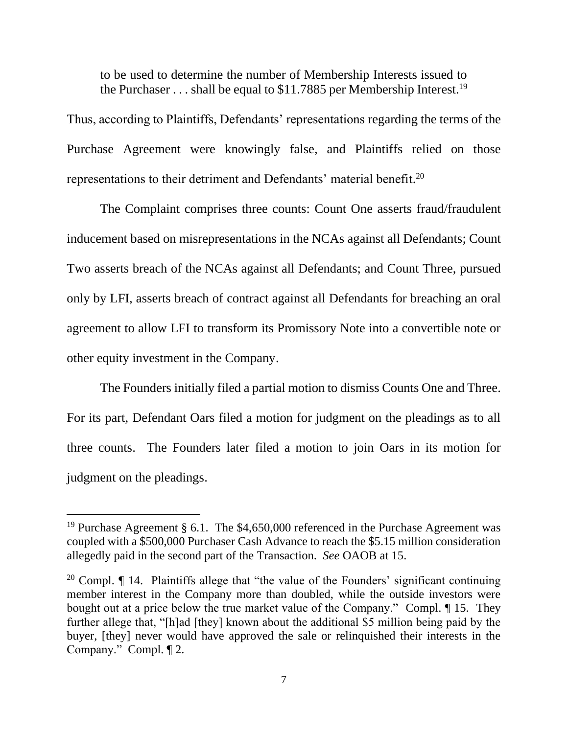to be used to determine the number of Membership Interests issued to the Purchaser  $\dots$  shall be equal to \$11.7885 per Membership Interest.<sup>19</sup>

Thus, according to Plaintiffs, Defendants' representations regarding the terms of the Purchase Agreement were knowingly false, and Plaintiffs relied on those representations to their detriment and Defendants' material benefit.<sup>20</sup>

The Complaint comprises three counts: Count One asserts fraud/fraudulent inducement based on misrepresentations in the NCAs against all Defendants; Count Two asserts breach of the NCAs against all Defendants; and Count Three, pursued only by LFI, asserts breach of contract against all Defendants for breaching an oral agreement to allow LFI to transform its Promissory Note into a convertible note or other equity investment in the Company.

The Founders initially filed a partial motion to dismiss Counts One and Three. For its part, Defendant Oars filed a motion for judgment on the pleadings as to all three counts. The Founders later filed a motion to join Oars in its motion for judgment on the pleadings.

<sup>&</sup>lt;sup>19</sup> Purchase Agreement § 6.1. The \$4,650,000 referenced in the Purchase Agreement was coupled with a \$500,000 Purchaser Cash Advance to reach the \$5.15 million consideration allegedly paid in the second part of the Transaction. *See* OAOB at 15.

<sup>&</sup>lt;sup>20</sup> Compl.  $\P$  14. Plaintiffs allege that "the value of the Founders' significant continuing member interest in the Company more than doubled, while the outside investors were bought out at a price below the true market value of the Company." Compl. ¶ 15. They further allege that, "[h]ad [they] known about the additional \$5 million being paid by the buyer, [they] never would have approved the sale or relinquished their interests in the Company." Compl. ¶ 2.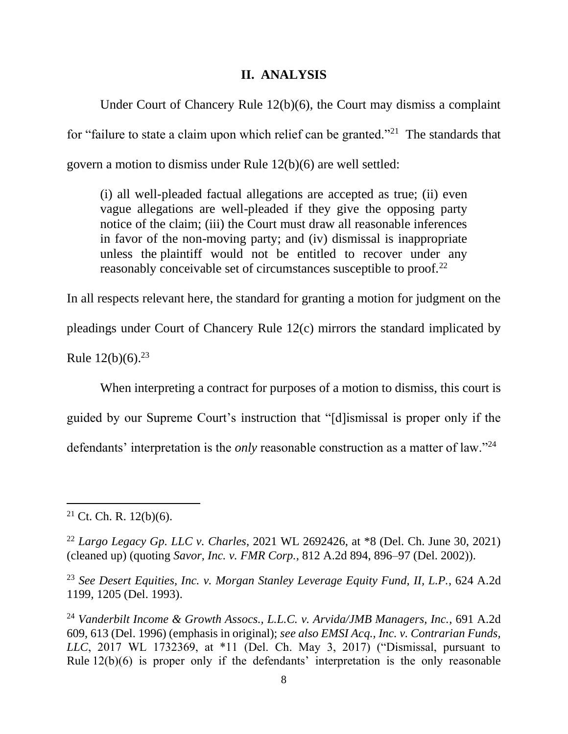#### **II. ANALYSIS**

Under Court of Chancery Rule 12(b)(6), the Court may dismiss a complaint for "failure to state a claim upon which relief can be granted."<sup>21</sup> The standards that govern a motion to dismiss under Rule 12(b)(6) are well settled:

(i) all well-pleaded factual allegations are accepted as true; (ii) even vague allegations are well-pleaded if they give the opposing party notice of the claim; (iii) the Court must draw all reasonable inferences in favor of the non-moving party; and (iv) dismissal is inappropriate unless the plaintiff would not be entitled to recover under any reasonably conceivable set of circumstances susceptible to proof.<sup>22</sup>

In all respects relevant here, the standard for granting a motion for judgment on the pleadings under Court of Chancery Rule 12(c) mirrors the standard implicated by

Rule  $12(b)(6)$ .<sup>23</sup>

When interpreting a contract for purposes of a motion to dismiss, this court is guided by our Supreme Court's instruction that "[d]ismissal is proper only if the defendants' interpretation is the *only* reasonable construction as a matter of law."<sup>24</sup>

 $21$  Ct. Ch. R.  $12(b)(6)$ .

<sup>22</sup> *Largo Legacy Gp. LLC v. Charles*, 2021 WL 2692426, at \*8 (Del. Ch. June 30, 2021) (cleaned up) (quoting *Savor, Inc. v. FMR Corp.*, 812 A.2d 894, 896–97 (Del. 2002)).

<sup>23</sup> *See Desert Equities, Inc. v. Morgan Stanley Leverage Equity Fund, II, L.P.*, 624 A.2d 1199, 1205 (Del. 1993).

<sup>24</sup> *Vanderbilt Income & Growth Assocs., L.L.C. v. Arvida/JMB Managers, Inc.*, 691 A.2d 609, 613 (Del. 1996) (emphasis in original); *see also EMSI Acq., Inc. v. Contrarian Funds, LLC*, 2017 WL 1732369, at \*11 (Del. Ch. May 3, 2017) ("Dismissal, pursuant to Rule 12(b)(6) is proper only if the defendants' interpretation is the only reasonable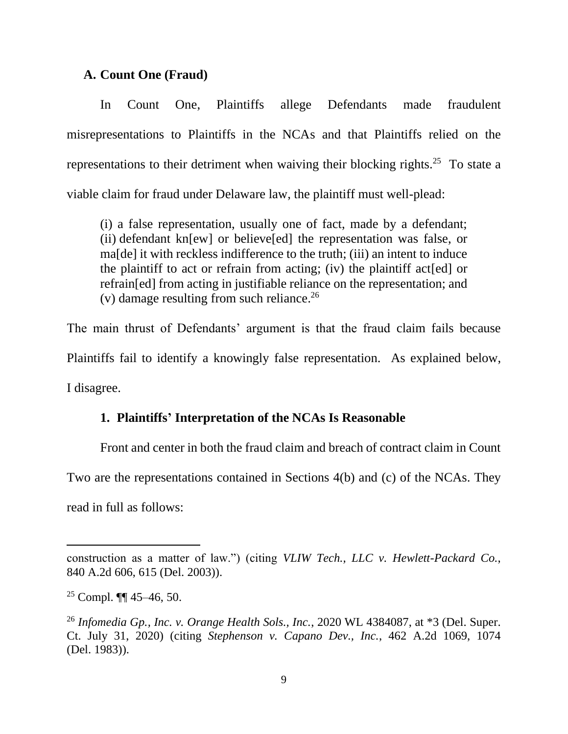#### **A. Count One (Fraud)**

In Count One, Plaintiffs allege Defendants made fraudulent misrepresentations to Plaintiffs in the NCAs and that Plaintiffs relied on the representations to their detriment when waiving their blocking rights.<sup>25</sup> To state a viable claim for fraud under Delaware law, the plaintiff must well-plead:

(i) a false representation, usually one of fact, made by a defendant; (ii) defendant kn[ew] or believe[ed] the representation was false, or ma[de] it with reckless indifference to the truth; (iii) an intent to induce the plaintiff to act or refrain from acting; (iv) the plaintiff act[ed] or refrain[ed] from acting in justifiable reliance on the representation; and (v) damage resulting from such reliance.<sup>26</sup>

The main thrust of Defendants' argument is that the fraud claim fails because Plaintiffs fail to identify a knowingly false representation. As explained below, I disagree.

# **1. Plaintiffs' Interpretation of the NCAs Is Reasonable**

Front and center in both the fraud claim and breach of contract claim in Count

Two are the representations contained in Sections 4(b) and (c) of the NCAs. They

read in full as follows:

construction as a matter of law.") (citing *VLIW Tech., LLC v. Hewlett-Packard Co.*, 840 A.2d 606, 615 (Del. 2003)).

<sup>&</sup>lt;sup>25</sup> Compl. **II** 45–46, 50.

<sup>26</sup> *Infomedia Gp., Inc. v. Orange Health Sols., Inc.*, 2020 WL 4384087, at \*3 (Del. Super. Ct. July 31, 2020) (citing *Stephenson v. Capano Dev., Inc.*, 462 A.2d 1069, 1074 (Del. 1983)).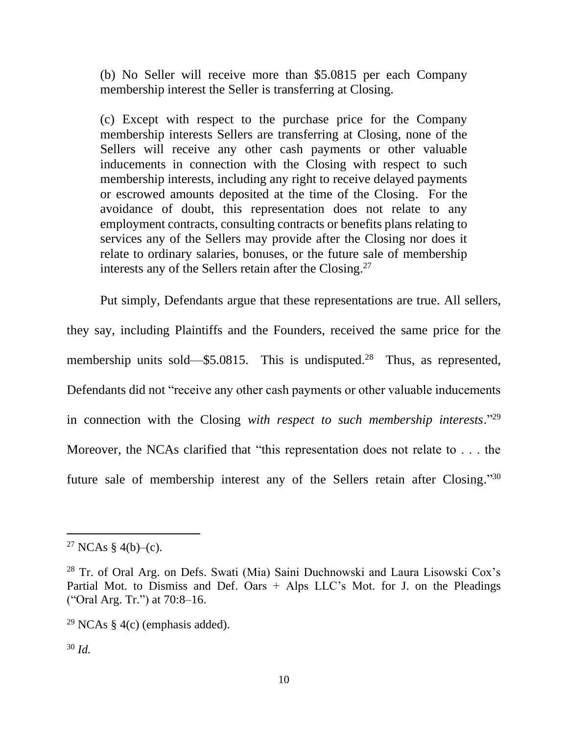(b) No Seller will receive more than \$5.0815 per each Company membership interest the Seller is transferring at Closing.

(c) Except with respect to the purchase price for the Company membership interests Sellers are transferring at Closing, none of the Sellers will receive any other cash payments or other valuable inducements in connection with the Closing with respect to such membership interests, including any right to receive delayed payments or escrowed amounts deposited at the time of the Closing. For the avoidance of doubt, this representation does not relate to any employment contracts, consulting contracts or benefits plans relating to services any of the Sellers may provide after the Closing nor does it relate to ordinary salaries, bonuses, or the future sale of membership interests any of the Sellers retain after the Closing.<sup>27</sup>

Put simply, Defendants argue that these representations are true. All sellers, they say, including Plaintiffs and the Founders, received the same price for the membership units sold—\$5.0815. This is undisputed.<sup>28</sup> Thus, as represented, Defendants did not "receive any other cash payments or other valuable inducements in connection with the Closing *with respect to such membership interests*." 29 Moreover, the NCAs clarified that "this representation does not relate to . . . the future sale of membership interest any of the Sellers retain after Closing."30

<sup>&</sup>lt;sup>27</sup> NCAs § 4(b)–(c).

<sup>28</sup> Tr. of Oral Arg. on Defs. Swati (Mia) Saini Duchnowski and Laura Lisowski Cox's Partial Mot. to Dismiss and Def. Oars + Alps LLC's Mot. for J. on the Pleadings ("Oral Arg. Tr.") at 70:8–16.

<sup>&</sup>lt;sup>29</sup> NCAs § 4(c) (emphasis added).

<sup>30</sup> *Id.*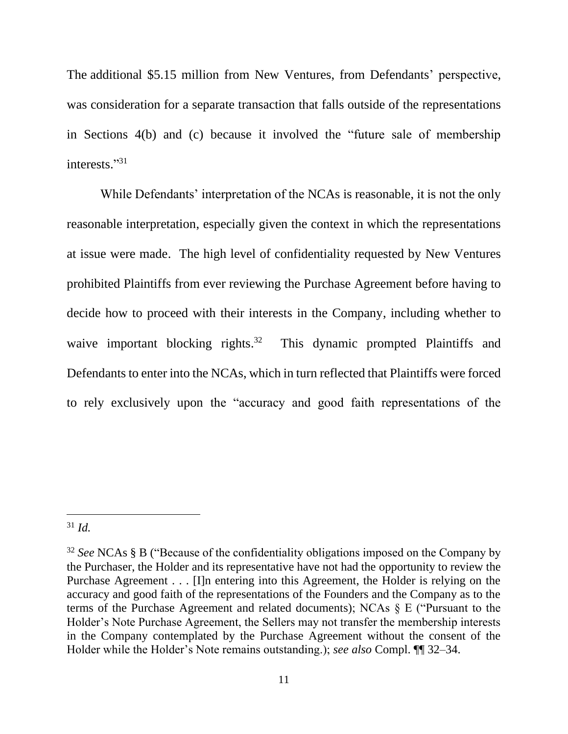The additional \$5.15 million from New Ventures, from Defendants' perspective, was consideration for a separate transaction that falls outside of the representations in Sections 4(b) and (c) because it involved the "future sale of membership interests." 31

While Defendants' interpretation of the NCAs is reasonable, it is not the only reasonable interpretation, especially given the context in which the representations at issue were made. The high level of confidentiality requested by New Ventures prohibited Plaintiffs from ever reviewing the Purchase Agreement before having to decide how to proceed with their interests in the Company, including whether to waive important blocking rights.<sup>32</sup> This dynamic prompted Plaintiffs and Defendants to enter into the NCAs, which in turn reflected that Plaintiffs were forced to rely exclusively upon the "accuracy and good faith representations of the

<sup>31</sup> *Id.*

<sup>32</sup> *See* NCAs § B ("Because of the confidentiality obligations imposed on the Company by the Purchaser, the Holder and its representative have not had the opportunity to review the Purchase Agreement . . . [I]n entering into this Agreement, the Holder is relying on the accuracy and good faith of the representations of the Founders and the Company as to the terms of the Purchase Agreement and related documents); NCAs § E ("Pursuant to the Holder's Note Purchase Agreement, the Sellers may not transfer the membership interests in the Company contemplated by the Purchase Agreement without the consent of the Holder while the Holder's Note remains outstanding.); *see also* Compl. ¶¶ 32–34.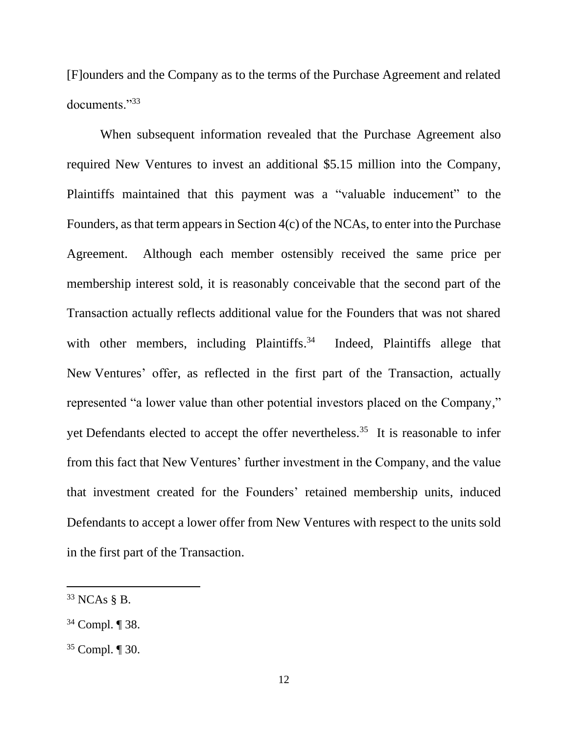[F]ounders and the Company as to the terms of the Purchase Agreement and related documents."<sup>33</sup>

When subsequent information revealed that the Purchase Agreement also required New Ventures to invest an additional \$5.15 million into the Company, Plaintiffs maintained that this payment was a "valuable inducement" to the Founders, as that term appears in Section 4(c) of the NCAs, to enter into the Purchase Agreement. Although each member ostensibly received the same price per membership interest sold, it is reasonably conceivable that the second part of the Transaction actually reflects additional value for the Founders that was not shared with other members, including Plaintiffs.<sup>34</sup> Indeed, Plaintiffs allege that New Ventures' offer, as reflected in the first part of the Transaction, actually represented "a lower value than other potential investors placed on the Company," yet Defendants elected to accept the offer nevertheless.<sup>35</sup> It is reasonable to infer from this fact that New Ventures' further investment in the Company, and the value that investment created for the Founders' retained membership units, induced Defendants to accept a lower offer from New Ventures with respect to the units sold in the first part of the Transaction.

 $33$  NCAs § B.

<sup>34</sup> Compl. ¶ 38.

<sup>35</sup> Compl. ¶ 30.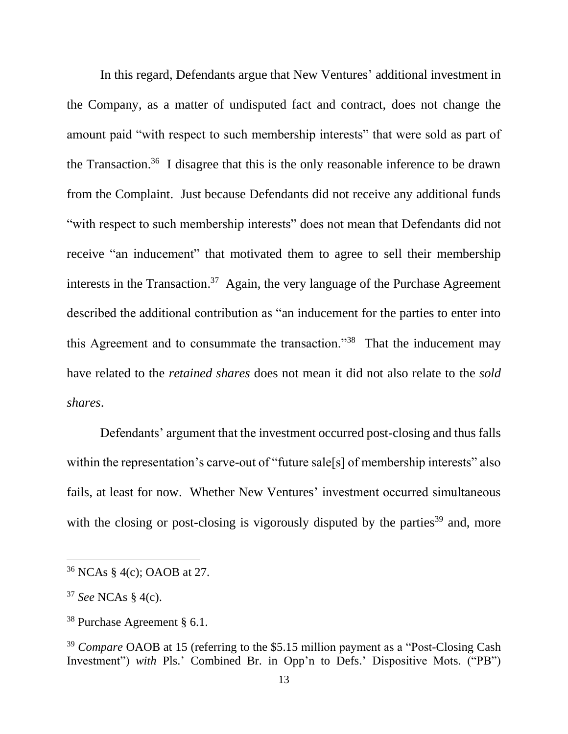In this regard, Defendants argue that New Ventures' additional investment in the Company, as a matter of undisputed fact and contract, does not change the amount paid "with respect to such membership interests" that were sold as part of the Transaction.<sup>36</sup> I disagree that this is the only reasonable inference to be drawn from the Complaint. Just because Defendants did not receive any additional funds "with respect to such membership interests" does not mean that Defendants did not receive "an inducement" that motivated them to agree to sell their membership interests in the Transaction. <sup>37</sup> Again, the very language of the Purchase Agreement described the additional contribution as "an inducement for the parties to enter into this Agreement and to consummate the transaction."<sup>38</sup> That the inducement may have related to the *retained shares* does not mean it did not also relate to the *sold shares*.

Defendants' argument that the investment occurred post-closing and thus falls within the representation's carve-out of "future sale[s] of membership interests" also fails, at least for now. Whether New Ventures' investment occurred simultaneous with the closing or post-closing is vigorously disputed by the parties<sup>39</sup> and, more

<sup>36</sup> NCAs § 4(c); OAOB at 27.

<sup>37</sup> *See* NCAs § 4(c).

<sup>38</sup> Purchase Agreement § 6.1.

<sup>&</sup>lt;sup>39</sup> *Compare* OAOB at 15 (referring to the \$5.15 million payment as a "Post-Closing Cash" Investment") *with* Pls.' Combined Br. in Opp'n to Defs.' Dispositive Mots. ("PB")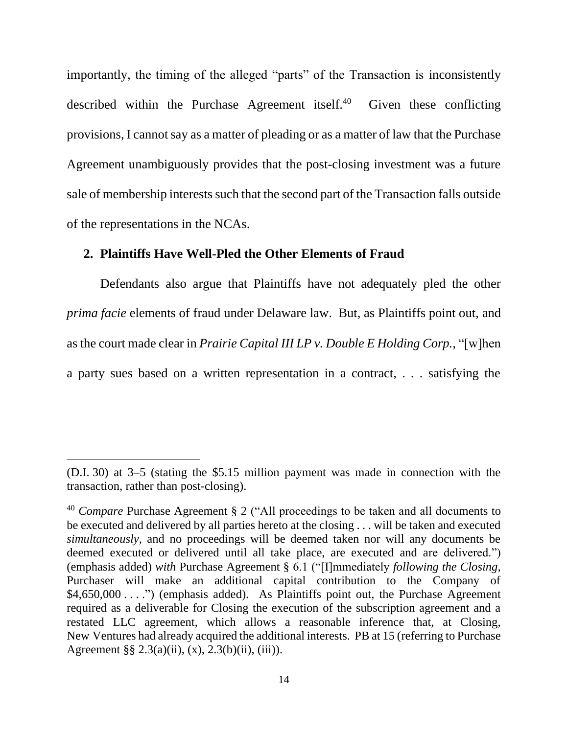importantly, the timing of the alleged "parts" of the Transaction is inconsistently described within the Purchase Agreement itself.<sup>40</sup> Given these conflicting provisions, I cannot say as a matter of pleading or as a matter of law that the Purchase Agreement unambiguously provides that the post-closing investment was a future sale of membership interests such that the second part of the Transaction falls outside of the representations in the NCAs.

#### **2. Plaintiffs Have Well-Pled the Other Elements of Fraud**

Defendants also argue that Plaintiffs have not adequately pled the other *prima facie* elements of fraud under Delaware law. But, as Plaintiffs point out, and as the court made clear in *Prairie Capital III LP v. Double E Holding Corp.*, "[w]hen a party sues based on a written representation in a contract, . . . satisfying the

<sup>(</sup>D.I. 30) at 3–5 (stating the \$5.15 million payment was made in connection with the transaction, rather than post-closing).

<sup>40</sup> *Compare* Purchase Agreement § 2 ("All proceedings to be taken and all documents to be executed and delivered by all parties hereto at the closing . . . will be taken and executed *simultaneously*, and no proceedings will be deemed taken nor will any documents be deemed executed or delivered until all take place, are executed and are delivered.") (emphasis added) *with* Purchase Agreement § 6.1 ("[I]mmediately *following the Closing*, Purchaser will make an additional capital contribution to the Company of \$4,650,000 . . . .") (emphasis added). As Plaintiffs point out, the Purchase Agreement required as a deliverable for Closing the execution of the subscription agreement and a restated LLC agreement, which allows a reasonable inference that, at Closing, New Ventures had already acquired the additional interests. PB at 15 (referring to Purchase Agreement §§ 2.3(a)(ii), (x), 2.3(b)(ii), (iii)).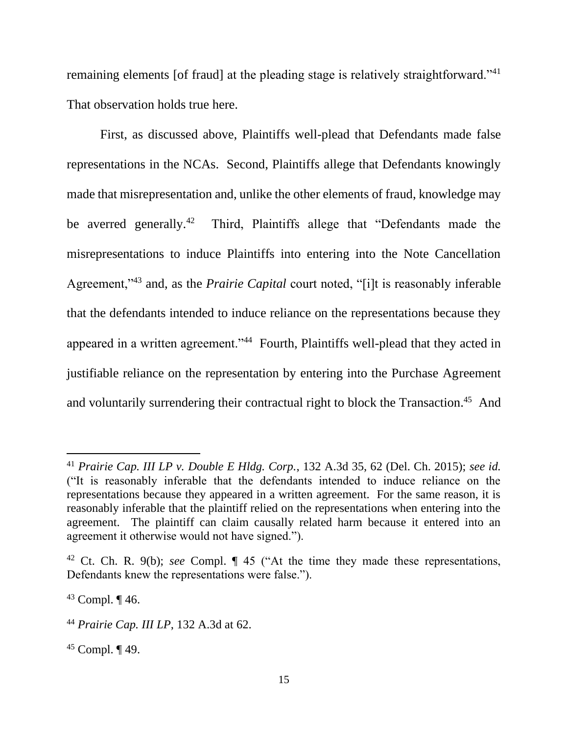remaining elements [of fraud] at the pleading stage is relatively straightforward."<sup>41</sup> That observation holds true here.

First, as discussed above, Plaintiffs well-plead that Defendants made false representations in the NCAs. Second, Plaintiffs allege that Defendants knowingly made that misrepresentation and, unlike the other elements of fraud, knowledge may be averred generally.<sup>42</sup> Third, Plaintiffs allege that "Defendants made the misrepresentations to induce Plaintiffs into entering into the Note Cancellation Agreement,"<sup>43</sup> and, as the *Prairie Capital* court noted, "[i]t is reasonably inferable that the defendants intended to induce reliance on the representations because they appeared in a written agreement."<sup>44</sup> Fourth, Plaintiffs well-plead that they acted in justifiable reliance on the representation by entering into the Purchase Agreement and voluntarily surrendering their contractual right to block the Transaction.<sup>45</sup> And

 $45$  Compl.  $\P$  49.

<sup>41</sup> *Prairie Cap. III LP v. Double E Hldg. Corp.*, 132 A.3d 35, 62 (Del. Ch. 2015); *see id.* ("It is reasonably inferable that the defendants intended to induce reliance on the representations because they appeared in a written agreement. For the same reason, it is reasonably inferable that the plaintiff relied on the representations when entering into the agreement. The plaintiff can claim causally related harm because it entered into an agreement it otherwise would not have signed.").

<sup>42</sup> Ct. Ch. R. 9(b); *see* Compl. ¶ 45 ("At the time they made these representations, Defendants knew the representations were false.").

<sup>43</sup> Compl. ¶ 46.

<sup>44</sup> *Prairie Cap. III LP*, 132 A.3d at 62.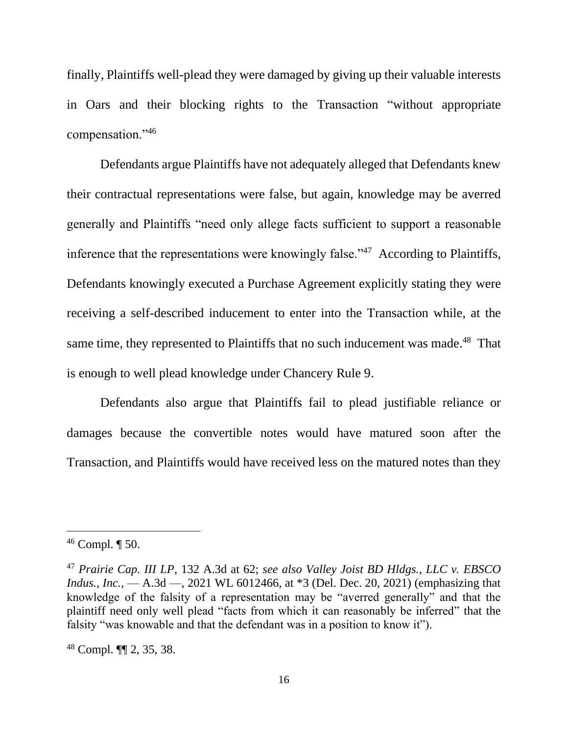finally, Plaintiffs well-plead they were damaged by giving up their valuable interests in Oars and their blocking rights to the Transaction "without appropriate compensation."<sup>46</sup>

Defendants argue Plaintiffs have not adequately alleged that Defendants knew their contractual representations were false, but again, knowledge may be averred generally and Plaintiffs "need only allege facts sufficient to support a reasonable inference that the representations were knowingly false."<sup>47</sup> According to Plaintiffs, Defendants knowingly executed a Purchase Agreement explicitly stating they were receiving a self-described inducement to enter into the Transaction while, at the same time, they represented to Plaintiffs that no such inducement was made.<sup>48</sup> That is enough to well plead knowledge under Chancery Rule 9.

Defendants also argue that Plaintiffs fail to plead justifiable reliance or damages because the convertible notes would have matured soon after the Transaction, and Plaintiffs would have received less on the matured notes than they

<sup>46</sup> Compl. ¶ 50.

<sup>47</sup> *Prairie Cap. III LP*, 132 A.3d at 62; *see also Valley Joist BD Hldgs., LLC v. EBSCO Indus., Inc.*, — A.3d —, 2021 WL 6012466, at \*3 (Del. Dec. 20, 2021) (emphasizing that knowledge of the falsity of a representation may be "averred generally" and that the plaintiff need only well plead "facts from which it can reasonably be inferred" that the falsity "was knowable and that the defendant was in a position to know it").

<sup>48</sup> Compl. ¶¶ 2, 35, 38.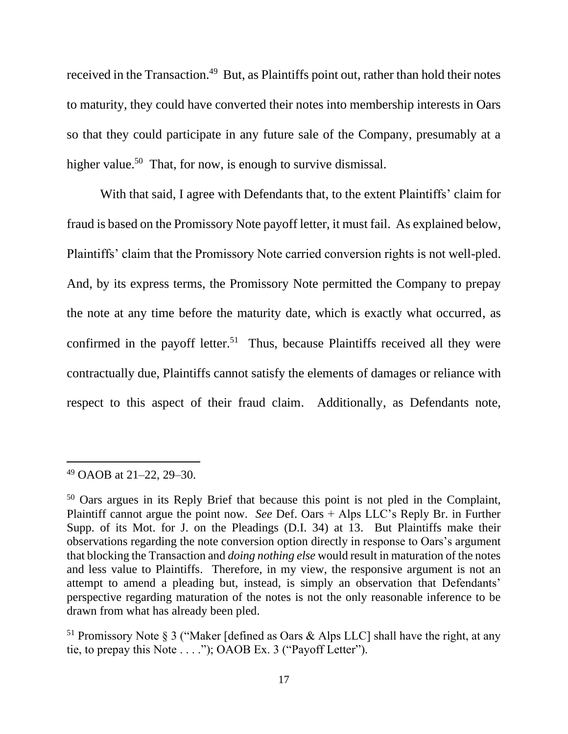received in the Transaction.<sup>49</sup> But, as Plaintiffs point out, rather than hold their notes to maturity, they could have converted their notes into membership interests in Oars so that they could participate in any future sale of the Company, presumably at a higher value.<sup>50</sup> That, for now, is enough to survive dismissal.

With that said, I agree with Defendants that, to the extent Plaintiffs' claim for fraud is based on the Promissory Note payoff letter, it must fail. As explained below, Plaintiffs' claim that the Promissory Note carried conversion rights is not well-pled. And, by its express terms, the Promissory Note permitted the Company to prepay the note at any time before the maturity date, which is exactly what occurred, as confirmed in the payoff letter.<sup>51</sup> Thus, because Plaintiffs received all they were contractually due, Plaintiffs cannot satisfy the elements of damages or reliance with respect to this aspect of their fraud claim. Additionally, as Defendants note,

<sup>49</sup> OAOB at 21–22, 29–30.

<sup>50</sup> Oars argues in its Reply Brief that because this point is not pled in the Complaint, Plaintiff cannot argue the point now. *See* Def. Oars + Alps LLC's Reply Br. in Further Supp. of its Mot. for J. on the Pleadings (D.I. 34) at 13. But Plaintiffs make their observations regarding the note conversion option directly in response to Oars's argument that blocking the Transaction and *doing nothing else* would result in maturation of the notes and less value to Plaintiffs. Therefore, in my view, the responsive argument is not an attempt to amend a pleading but, instead, is simply an observation that Defendants' perspective regarding maturation of the notes is not the only reasonable inference to be drawn from what has already been pled.

<sup>&</sup>lt;sup>51</sup> Promissory Note § 3 ("Maker [defined as Oars & Alps LLC] shall have the right, at any tie, to prepay this Note . . . ."); OAOB Ex. 3 ("Payoff Letter").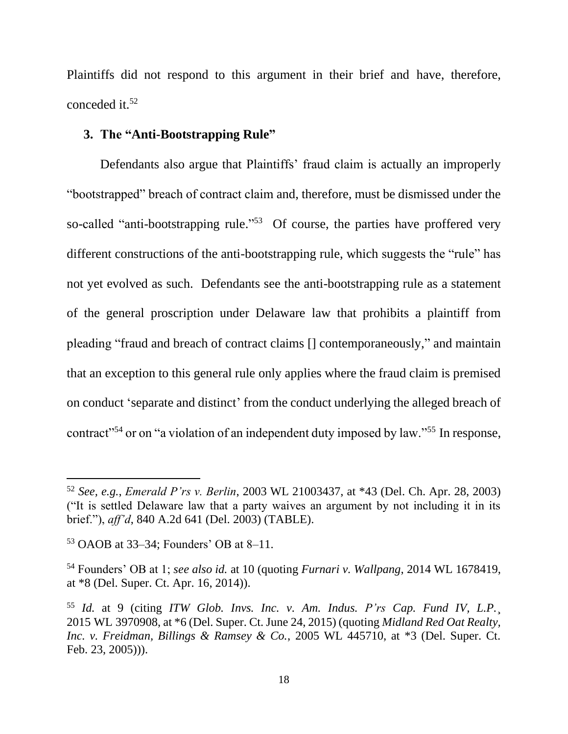Plaintiffs did not respond to this argument in their brief and have, therefore, conceded it.<sup>52</sup>

# **3. The "Anti-Bootstrapping Rule"**

Defendants also argue that Plaintiffs' fraud claim is actually an improperly "bootstrapped" breach of contract claim and, therefore, must be dismissed under the so-called "anti-bootstrapping rule."<sup>53</sup> Of course, the parties have proffered very different constructions of the anti-bootstrapping rule, which suggests the "rule" has not yet evolved as such. Defendants see the anti-bootstrapping rule as a statement of the general proscription under Delaware law that prohibits a plaintiff from pleading "fraud and breach of contract claims [] contemporaneously," and maintain that an exception to this general rule only applies where the fraud claim is premised on conduct 'separate and distinct' from the conduct underlying the alleged breach of contract"<sup>54</sup> or on "a violation of an independent duty imposed by law."<sup>55</sup> In response,

<sup>52</sup> *See, e.g.*, *Emerald P'rs v. Berlin*, 2003 WL 21003437, at \*43 (Del. Ch. Apr. 28, 2003) ("It is settled Delaware law that a party waives an argument by not including it in its brief."), *aff'd*, 840 A.2d 641 (Del. 2003) (TABLE).

<sup>53</sup> OAOB at 33–34; Founders' OB at 8–11.

<sup>54</sup> Founders' OB at 1; *see also id.* at 10 (quoting *Furnari v. Wallpang*, 2014 WL 1678419, at \*8 (Del. Super. Ct. Apr. 16, 2014)).

<sup>55</sup> *Id.* at 9 (citing *ITW Glob. Invs. Inc. v. Am. Indus. P'rs Cap. Fund IV, L.P.*¸ 2015 WL 3970908, at \*6 (Del. Super. Ct. June 24, 2015) (quoting *Midland Red Oat Realty, Inc. v. Freidman, Billings & Ramsey & Co.*, 2005 WL 445710, at \*3 (Del. Super. Ct. Feb. 23, 2005))).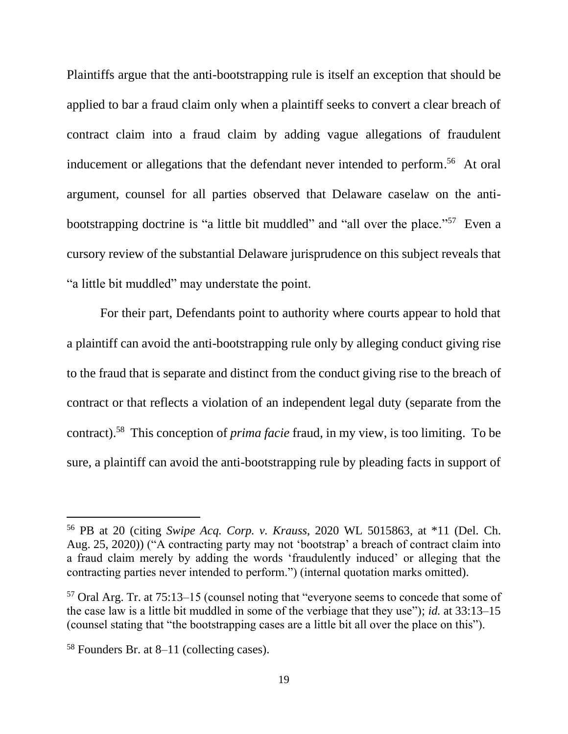Plaintiffs argue that the anti-bootstrapping rule is itself an exception that should be applied to bar a fraud claim only when a plaintiff seeks to convert a clear breach of contract claim into a fraud claim by adding vague allegations of fraudulent inducement or allegations that the defendant never intended to perform.<sup>56</sup> At oral argument, counsel for all parties observed that Delaware caselaw on the antibootstrapping doctrine is "a little bit muddled" and "all over the place."<sup>57</sup> Even a cursory review of the substantial Delaware jurisprudence on this subject reveals that "a little bit muddled" may understate the point.

For their part, Defendants point to authority where courts appear to hold that a plaintiff can avoid the anti-bootstrapping rule only by alleging conduct giving rise to the fraud that is separate and distinct from the conduct giving rise to the breach of contract or that reflects a violation of an independent legal duty (separate from the contract). 58 This conception of *prima facie* fraud, in my view, is too limiting. To be sure, a plaintiff can avoid the anti-bootstrapping rule by pleading facts in support of

<sup>56</sup> PB at 20 (citing *Swipe Acq. Corp. v. Krauss*, 2020 WL 5015863, at \*11 (Del. Ch. Aug. 25, 2020)) ("A contracting party may not 'bootstrap' a breach of contract claim into a fraud claim merely by adding the words 'fraudulently induced' or alleging that the contracting parties never intended to perform.") (internal quotation marks omitted).

<sup>57</sup> Oral Arg. Tr. at 75:13–15 (counsel noting that "everyone seems to concede that some of the case law is a little bit muddled in some of the verbiage that they use"); *id.* at 33:13–15 (counsel stating that "the bootstrapping cases are a little bit all over the place on this").

<sup>58</sup> Founders Br. at 8–11 (collecting cases).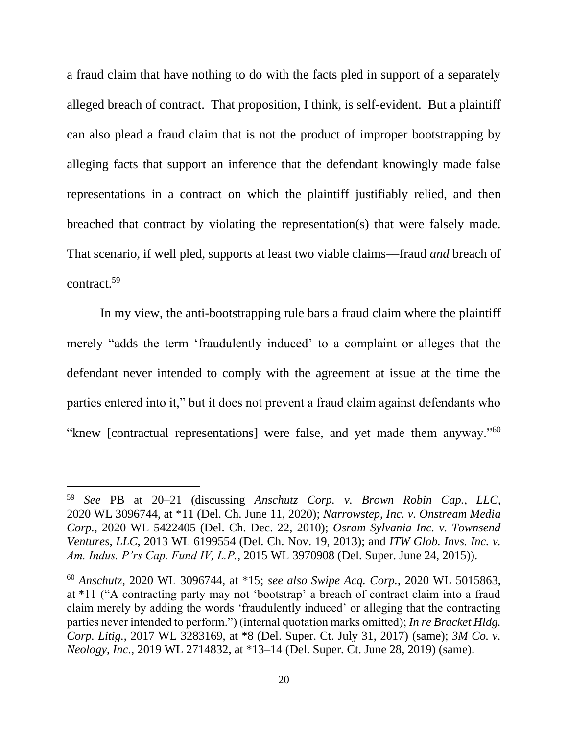a fraud claim that have nothing to do with the facts pled in support of a separately alleged breach of contract. That proposition, I think, is self-evident. But a plaintiff can also plead a fraud claim that is not the product of improper bootstrapping by alleging facts that support an inference that the defendant knowingly made false representations in a contract on which the plaintiff justifiably relied, and then breached that contract by violating the representation(s) that were falsely made. That scenario, if well pled, supports at least two viable claims––fraud *and* breach of contract.<sup>59</sup>

In my view, the anti-bootstrapping rule bars a fraud claim where the plaintiff merely "adds the term 'fraudulently induced' to a complaint or alleges that the defendant never intended to comply with the agreement at issue at the time the parties entered into it," but it does not prevent a fraud claim against defendants who "knew [contractual representations] were false, and yet made them anyway."<sup>60</sup>

<sup>59</sup> *See* PB at 20–21 (discussing *Anschutz Corp. v. Brown Robin Cap., LLC*, 2020 WL 3096744, at \*11 (Del. Ch. June 11, 2020); *Narrowstep, Inc. v. Onstream Media Corp.*, 2020 WL 5422405 (Del. Ch. Dec. 22, 2010); *Osram Sylvania Inc. v. Townsend Ventures, LLC*, 2013 WL 6199554 (Del. Ch. Nov. 19, 2013); and *ITW Glob. Invs. Inc. v. Am. Indus. P'rs Cap. Fund IV, L.P.*, 2015 WL 3970908 (Del. Super. June 24, 2015)).

<sup>60</sup> *Anschutz*, 2020 WL 3096744, at \*15; *see also Swipe Acq. Corp.*, 2020 WL 5015863, at \*11 ("A contracting party may not 'bootstrap' a breach of contract claim into a fraud claim merely by adding the words 'fraudulently induced' or alleging that the contracting parties never intended to perform.") (internal quotation marks omitted); *In re Bracket Hldg. Corp. Litig.*, 2017 WL 3283169, at \*8 (Del. Super. Ct. July 31, 2017) (same); *3M Co. v. Neology, Inc.*, 2019 WL 2714832, at \*13–14 (Del. Super. Ct. June 28, 2019) (same).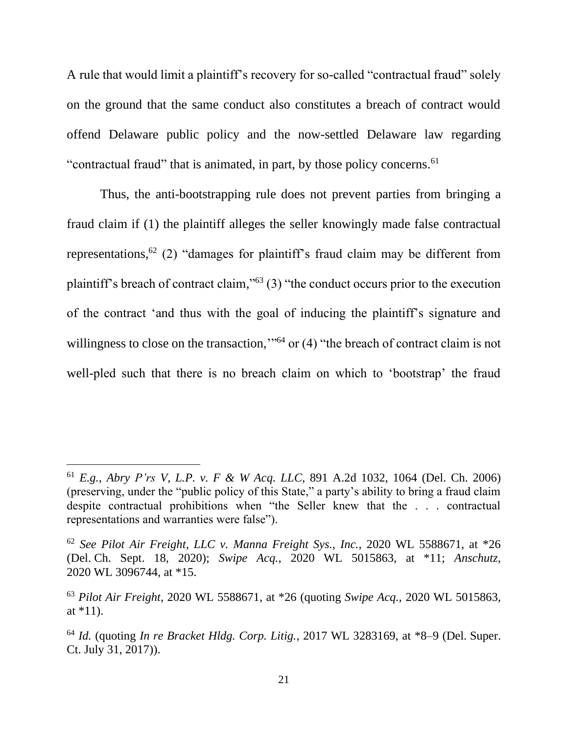A rule that would limit a plaintiff's recovery for so-called "contractual fraud" solely on the ground that the same conduct also constitutes a breach of contract would offend Delaware public policy and the now-settled Delaware law regarding "contractual fraud" that is animated, in part, by those policy concerns.<sup>61</sup>

Thus, the anti-bootstrapping rule does not prevent parties from bringing a fraud claim if (1) the plaintiff alleges the seller knowingly made false contractual representations, <sup>62</sup> (2) "damages for plaintiff's fraud claim may be different from plaintiff's breach of contract claim,"<sup>63</sup> (3) "the conduct occurs prior to the execution of the contract 'and thus with the goal of inducing the plaintiff's signature and willingness to close on the transaction,"<sup>64</sup> or (4) "the breach of contract claim is not well-pled such that there is no breach claim on which to 'bootstrap' the fraud

<sup>61</sup> *E.g.*, *Abry P'rs V, L.P. v. F & W Acq. LLC*, 891 A.2d 1032, 1064 (Del. Ch. 2006) (preserving, under the "public policy of this State," a party's ability to bring a fraud claim despite contractual prohibitions when "the Seller knew that the . . . contractual representations and warranties were false").

<sup>62</sup> *See Pilot Air Freight, LLC v. Manna Freight Sys., Inc.*, 2020 WL 5588671, at \*26 (Del. Ch. Sept. 18, 2020); *Swipe Acq.*, 2020 WL 5015863, at \*11; *Anschutz*, 2020 WL 3096744, at \*15.

<sup>63</sup> *Pilot Air Freight*, 2020 WL 5588671, at \*26 (quoting *Swipe Acq.*, 2020 WL 5015863, at  $*11$ ).

<sup>64</sup> *Id.* (quoting *In re Bracket Hldg. Corp. Litig.*, 2017 WL 3283169, at \*8–9 (Del. Super. Ct. July 31, 2017)).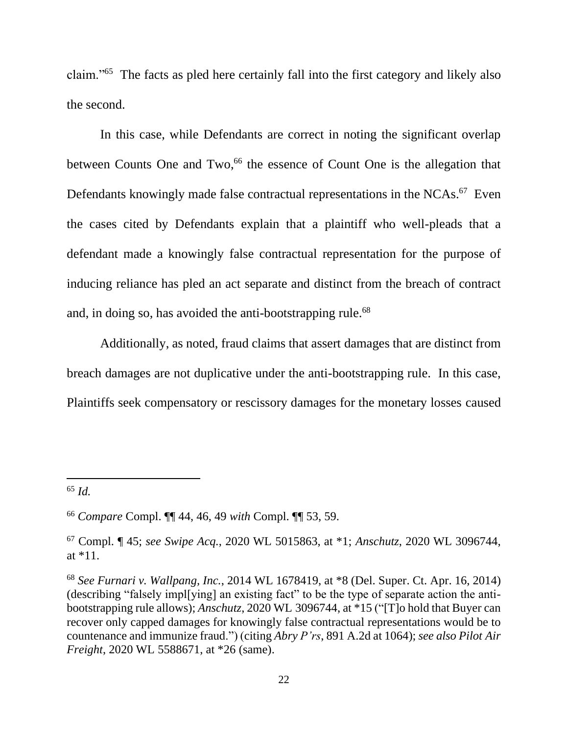claim."<sup>65</sup> The facts as pled here certainly fall into the first category and likely also the second.

In this case, while Defendants are correct in noting the significant overlap between Counts One and Two,<sup>66</sup> the essence of Count One is the allegation that Defendants knowingly made false contractual representations in the NCAs.<sup>67</sup> Even the cases cited by Defendants explain that a plaintiff who well-pleads that a defendant made a knowingly false contractual representation for the purpose of inducing reliance has pled an act separate and distinct from the breach of contract and, in doing so, has avoided the anti-bootstrapping rule.<sup>68</sup>

Additionally, as noted, fraud claims that assert damages that are distinct from breach damages are not duplicative under the anti-bootstrapping rule. In this case, Plaintiffs seek compensatory or rescissory damages for the monetary losses caused

<sup>65</sup> *Id.*

<sup>66</sup> *Compare* Compl. ¶¶ 44, 46, 49 *with* Compl. ¶¶ 53, 59.

<sup>67</sup> Compl. ¶ 45; *see Swipe Acq.*, 2020 WL 5015863, at \*1; *Anschutz*, 2020 WL 3096744, at \*11.

<sup>68</sup> *See Furnari v. Wallpang, Inc.*, 2014 WL 1678419, at \*8 (Del. Super. Ct. Apr. 16, 2014) (describing "falsely impl[ying] an existing fact" to be the type of separate action the antibootstrapping rule allows); *Anschutz*, 2020 WL 3096744, at \*15 ("[T]o hold that Buyer can recover only capped damages for knowingly false contractual representations would be to countenance and immunize fraud.") (citing *Abry P'rs*, 891 A.2d at 1064); *see also Pilot Air Freight*, 2020 WL 5588671, at \*26 (same).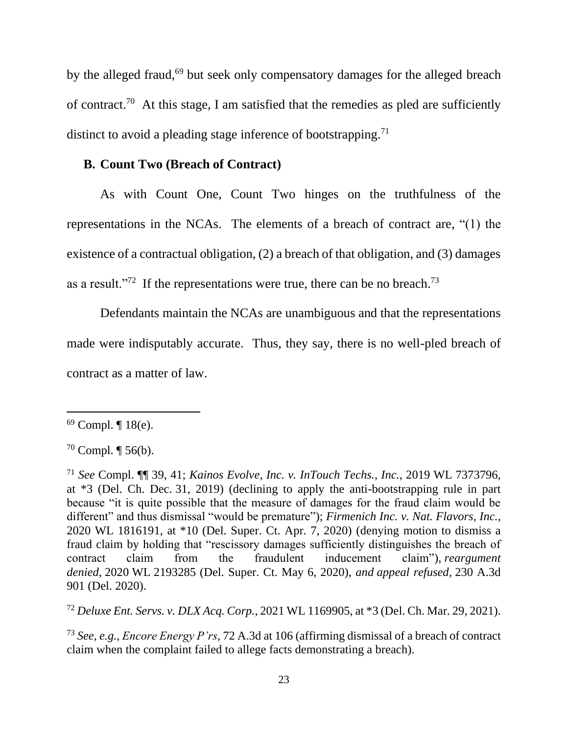by the alleged fraud,<sup>69</sup> but seek only compensatory damages for the alleged breach of contract.<sup>70</sup> At this stage, I am satisfied that the remedies as pled are sufficiently distinct to avoid a pleading stage inference of bootstrapping.<sup>71</sup>

### **B. Count Two (Breach of Contract)**

As with Count One, Count Two hinges on the truthfulness of the representations in the NCAs. The elements of a breach of contract are, "(1) the existence of a contractual obligation, (2) a breach of that obligation, and (3) damages as a result."<sup>72</sup> If the representations were true, there can be no breach.<sup>73</sup>

Defendants maintain the NCAs are unambiguous and that the representations made were indisputably accurate. Thus, they say, there is no well-pled breach of contract as a matter of law.

<sup>72</sup> *Deluxe Ent. Servs. v. DLX Acq. Corp.*, 2021 WL 1169905, at \*3 (Del. Ch. Mar. 29, 2021).

<sup>73</sup> *See, e.g.*, *Encore Energy P'rs*, 72 A.3d at 106 (affirming dismissal of a breach of contract claim when the complaint failed to allege facts demonstrating a breach).

 $69$  Compl.  $\P$  18(e).

 $70$  Compl.  $\P$  56(b).

<sup>71</sup> *See* Compl. ¶¶ 39, 41; *Kainos Evolve, Inc. v. InTouch Techs., Inc.*, 2019 WL 7373796, at \*3 (Del. Ch. Dec. 31, 2019) (declining to apply the anti-bootstrapping rule in part because "it is quite possible that the measure of damages for the fraud claim would be different" and thus dismissal "would be premature"); *Firmenich Inc. v. Nat. Flavors, Inc.*, 2020 WL 1816191, at \*10 (Del. Super. Ct. Apr. 7, 2020) (denying motion to dismiss a fraud claim by holding that "rescissory damages sufficiently distinguishes the breach of contract claim from the fraudulent inducement claim"), *reargument denied*, 2020 WL 2193285 (Del. Super. Ct. May 6, 2020), *and appeal refused*, 230 A.3d 901 (Del. 2020).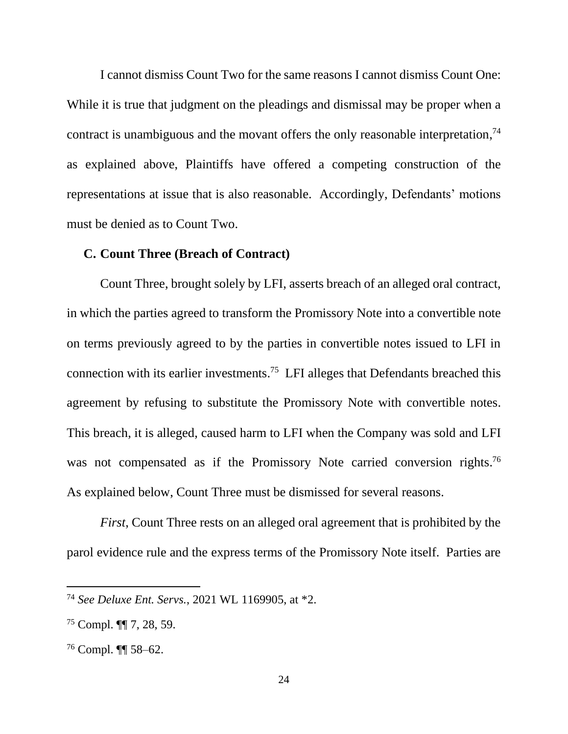I cannot dismiss Count Two for the same reasons I cannot dismiss Count One: While it is true that judgment on the pleadings and dismissal may be proper when a contract is unambiguous and the movant offers the only reasonable interpretation,<sup>74</sup> as explained above, Plaintiffs have offered a competing construction of the representations at issue that is also reasonable. Accordingly, Defendants' motions must be denied as to Count Two.

#### **C. Count Three (Breach of Contract)**

Count Three, brought solely by LFI, asserts breach of an alleged oral contract, in which the parties agreed to transform the Promissory Note into a convertible note on terms previously agreed to by the parties in convertible notes issued to LFI in connection with its earlier investments. 75 LFI alleges that Defendants breached this agreement by refusing to substitute the Promissory Note with convertible notes. This breach, it is alleged, caused harm to LFI when the Company was sold and LFI was not compensated as if the Promissory Note carried conversion rights.<sup>76</sup> As explained below, Count Three must be dismissed for several reasons.

*First*, Count Three rests on an alleged oral agreement that is prohibited by the parol evidence rule and the express terms of the Promissory Note itself. Parties are

<sup>74</sup> *See Deluxe Ent. Servs.*, 2021 WL 1169905, at \*2.

 $75$  Compl.  $\P$  7, 28, 59.

<sup>76</sup> Compl. ¶¶ 58–62.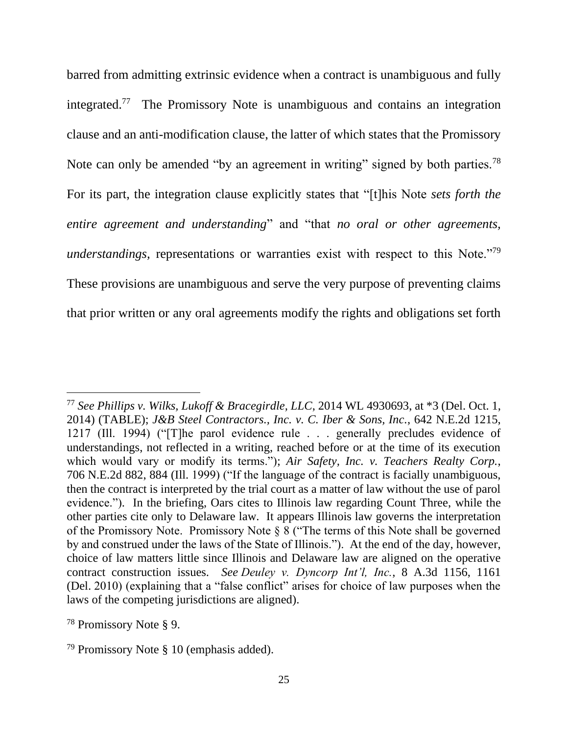barred from admitting extrinsic evidence when a contract is unambiguous and fully integrated.<sup>77</sup> The Promissory Note is unambiguous and contains an integration clause and an anti-modification clause, the latter of which states that the Promissory Note can only be amended "by an agreement in writing" signed by both parties.<sup>78</sup> For its part, the integration clause explicitly states that "[t]his Note *sets forth the entire agreement and understanding*" and "that *no oral or other agreements, understandings,* representations or warranties exist with respect to this Note."<sup>79</sup> These provisions are unambiguous and serve the very purpose of preventing claims that prior written or any oral agreements modify the rights and obligations set forth

<sup>77</sup> *See Phillips v. Wilks, Lukoff & Bracegirdle, LLC*, 2014 WL 4930693, at \*3 (Del. Oct. 1, 2014) (TABLE); *J&B Steel Contractors., Inc. v. C. Iber & Sons, Inc.*, 642 N.E.2d 1215, 1217 (Ill. 1994) ("[T]he parol evidence rule . . . generally precludes evidence of understandings, not reflected in a writing, reached before or at the time of its execution which would vary or modify its terms."); *Air Safety, Inc. v. Teachers Realty Corp.*, 706 N.E.2d 882, 884 (Ill. 1999) ("If the language of the contract is facially unambiguous, then the contract is interpreted by the trial court as a matter of law without the use of parol evidence."). In the briefing, Oars cites to Illinois law regarding Count Three, while the other parties cite only to Delaware law. It appears Illinois law governs the interpretation of the Promissory Note. Promissory Note § 8 ("The terms of this Note shall be governed by and construed under the laws of the State of Illinois."). At the end of the day, however, choice of law matters little since Illinois and Delaware law are aligned on the operative contract construction issues. *See Deuley v. Dyncorp Int'l, Inc.*, 8 A.3d 1156, 1161 (Del. 2010) (explaining that a "false conflict" arises for choice of law purposes when the laws of the competing jurisdictions are aligned).

<sup>78</sup> Promissory Note § 9.

<sup>79</sup> Promissory Note § 10 (emphasis added).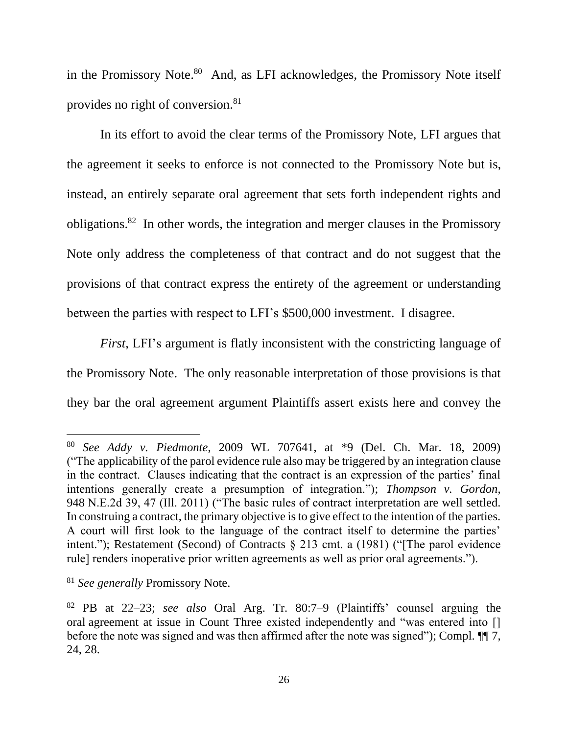in the Promissory Note.<sup>80</sup> And, as LFI acknowledges, the Promissory Note itself provides no right of conversion.<sup>81</sup>

In its effort to avoid the clear terms of the Promissory Note, LFI argues that the agreement it seeks to enforce is not connected to the Promissory Note but is, instead, an entirely separate oral agreement that sets forth independent rights and obligations.<sup>82</sup> In other words, the integration and merger clauses in the Promissory Note only address the completeness of that contract and do not suggest that the provisions of that contract express the entirety of the agreement or understanding between the parties with respect to LFI's \$500,000 investment. I disagree.

*First*, LFI's argument is flatly inconsistent with the constricting language of the Promissory Note. The only reasonable interpretation of those provisions is that they bar the oral agreement argument Plaintiffs assert exists here and convey the

<sup>80</sup> *See Addy v. Piedmonte*, 2009 WL 707641, at \*9 (Del. Ch. Mar. 18, 2009) ("The applicability of the parol evidence rule also may be triggered by an integration clause in the contract. Clauses indicating that the contract is an expression of the parties' final intentions generally create a presumption of integration."); *Thompson v. Gordon*, 948 N.E.2d 39, 47 (Ill. 2011) ("The basic rules of contract interpretation are well settled. In construing a contract, the primary objective is to give effect to the intention of the parties. A court will first look to the language of the contract itself to determine the parties' intent."); Restatement (Second) of Contracts § 213 cmt. a (1981) ("[The parol evidence rule] renders inoperative prior written agreements as well as prior oral agreements.").

<sup>81</sup> *See generally* Promissory Note.

<sup>82</sup> PB at 22–23; *see also* Oral Arg. Tr. 80:7–9 (Plaintiffs' counsel arguing the oral agreement at issue in Count Three existed independently and "was entered into [] before the note was signed and was then affirmed after the note was signed"); Compl. ¶¶ 7, 24, 28.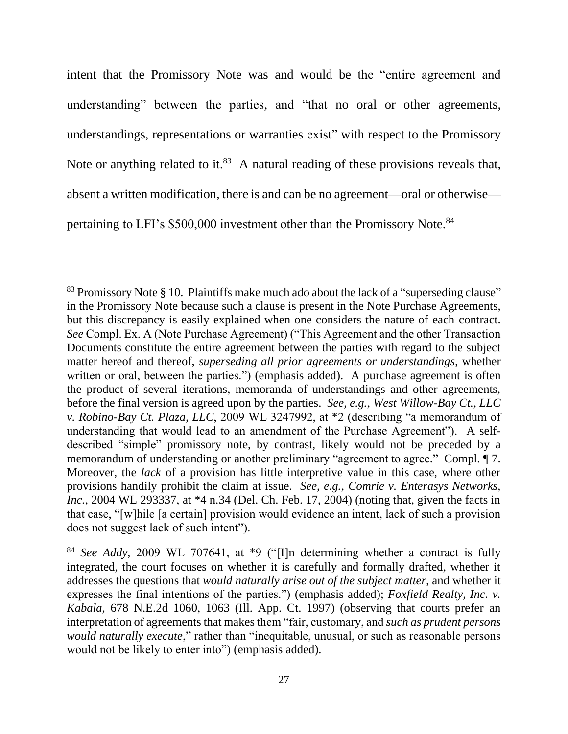intent that the Promissory Note was and would be the "entire agreement and understanding" between the parties, and "that no oral or other agreements, understandings, representations or warranties exist" with respect to the Promissory Note or anything related to it.<sup>83</sup> A natural reading of these provisions reveals that, absent a written modification, there is and can be no agreement—oral or otherwise pertaining to LFI's \$500,000 investment other than the Promissory Note.<sup>84</sup>

<sup>&</sup>lt;sup>83</sup> Promissory Note § 10. Plaintiffs make much ado about the lack of a "superseding clause" in the Promissory Note because such a clause is present in the Note Purchase Agreements, but this discrepancy is easily explained when one considers the nature of each contract. *See* Compl. Ex. A (Note Purchase Agreement) ("This Agreement and the other Transaction Documents constitute the entire agreement between the parties with regard to the subject matter hereof and thereof, *superseding all prior agreements or understandings*, whether written or oral, between the parties.") (emphasis added). A purchase agreement is often the product of several iterations, memoranda of understandings and other agreements, before the final version is agreed upon by the parties. *See, e.g.*, *West Willow-Bay Ct., LLC v. Robino-Bay Ct. Plaza, LLC*, 2009 WL 3247992, at \*2 (describing "a memorandum of understanding that would lead to an amendment of the Purchase Agreement"). A selfdescribed "simple" promissory note, by contrast, likely would not be preceded by a memorandum of understanding or another preliminary "agreement to agree." Compl.  $\P$ 7. Moreover, the *lack* of a provision has little interpretive value in this case, where other provisions handily prohibit the claim at issue. *See, e.g.*, *Comrie v. Enterasys Networks, Inc.*, 2004 WL 293337, at \*4 n.34 (Del. Ch. Feb. 17, 2004) (noting that, given the facts in that case, "[w]hile [a certain] provision would evidence an intent, lack of such a provision does not suggest lack of such intent").

<sup>84</sup> *See Addy*, 2009 WL 707641, at \*9 ("[I]n determining whether a contract is fully integrated, the court focuses on whether it is carefully and formally drafted, whether it addresses the questions that *would naturally arise out of the subject matter*, and whether it expresses the final intentions of the parties.") (emphasis added); *Foxfield Realty, Inc. v. Kabala*, 678 N.E.2d 1060, 1063 (Ill. App. Ct. 1997) (observing that courts prefer an interpretation of agreements that makes them "fair, customary, and *such as prudent persons would naturally execute*," rather than "inequitable, unusual, or such as reasonable persons would not be likely to enter into") (emphasis added).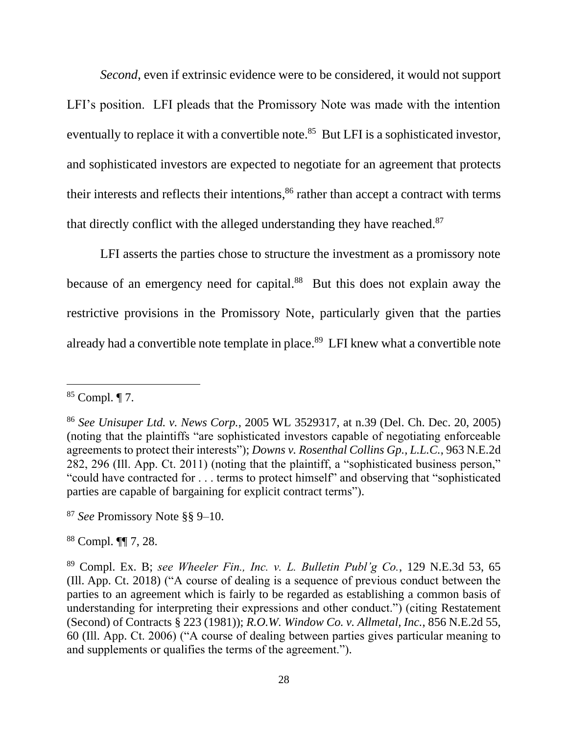*Second*, even if extrinsic evidence were to be considered, it would not support LFI's position. LFI pleads that the Promissory Note was made with the intention eventually to replace it with a convertible note.<sup>85</sup> But LFI is a sophisticated investor, and sophisticated investors are expected to negotiate for an agreement that protects their interests and reflects their intentions, <sup>86</sup> rather than accept a contract with terms that directly conflict with the alleged understanding they have reached.<sup>87</sup>

LFI asserts the parties chose to structure the investment as a promissory note because of an emergency need for capital.<sup>88</sup> But this does not explain away the restrictive provisions in the Promissory Note, particularly given that the parties already had a convertible note template in place.<sup>89</sup> LFI knew what a convertible note

<sup>87</sup> *See* Promissory Note §§ 9–10.

<sup>88</sup> Compl. ¶¶ 7, 28.

<sup>85</sup> Compl. ¶ 7.

<sup>86</sup> *See Unisuper Ltd. v. News Corp.*, 2005 WL 3529317, at n.39 (Del. Ch. Dec. 20, 2005) (noting that the plaintiffs "are sophisticated investors capable of negotiating enforceable agreements to protect their interests"); *Downs v. Rosenthal Collins Gp., L.L.C.*, 963 N.E.2d 282, 296 (Ill. App. Ct. 2011) (noting that the plaintiff, a "sophisticated business person," "could have contracted for . . . terms to protect himself" and observing that "sophisticated parties are capable of bargaining for explicit contract terms").

<sup>89</sup> Compl. Ex. B; *see Wheeler Fin., Inc. v. L. Bulletin Publ'g Co.*, 129 N.E.3d 53, 65 (Ill. App. Ct. 2018) ("A course of dealing is a sequence of previous conduct between the parties to an agreement which is fairly to be regarded as establishing a common basis of understanding for interpreting their expressions and other conduct.") (citing Restatement (Second) of Contracts § 223 (1981)); *R.O.W. Window Co. v. Allmetal, Inc.*, 856 N.E.2d 55, 60 (Ill. App. Ct. 2006) ("A course of dealing between parties gives particular meaning to and supplements or qualifies the terms of the agreement.").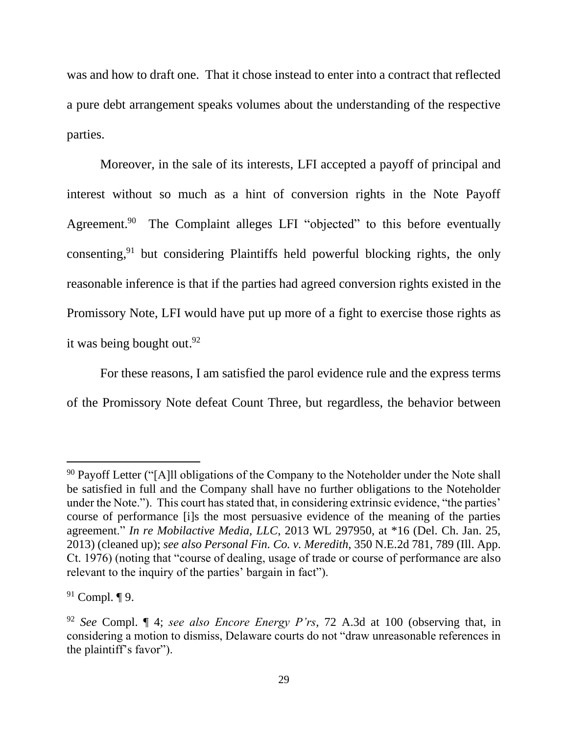was and how to draft one. That it chose instead to enter into a contract that reflected a pure debt arrangement speaks volumes about the understanding of the respective parties.

Moreover, in the sale of its interests, LFI accepted a payoff of principal and interest without so much as a hint of conversion rights in the Note Payoff Agreement.<sup>90</sup> The Complaint alleges LFI "objected" to this before eventually consenting, <sup>91</sup> but considering Plaintiffs held powerful blocking rights, the only reasonable inference is that if the parties had agreed conversion rights existed in the Promissory Note, LFI would have put up more of a fight to exercise those rights as it was being bought out. 92

For these reasons, I am satisfied the parol evidence rule and the express terms of the Promissory Note defeat Count Three, but regardless, the behavior between

<sup>&</sup>lt;sup>90</sup> Payoff Letter ("[A]ll obligations of the Company to the Noteholder under the Note shall be satisfied in full and the Company shall have no further obligations to the Noteholder under the Note."). This court has stated that, in considering extrinsic evidence, "the parties' course of performance [i]s the most persuasive evidence of the meaning of the parties agreement." *In re Mobilactive Media, LLC*, 2013 WL 297950, at \*16 (Del. Ch. Jan. 25, 2013) (cleaned up); *see also Personal Fin. Co. v. Meredith*, 350 N.E.2d 781, 789 (Ill. App. Ct. 1976) (noting that "course of dealing, usage of trade or course of performance are also relevant to the inquiry of the parties' bargain in fact").

<sup>91</sup> Compl. ¶ 9.

<sup>92</sup> *See* Compl. ¶ 4; *see also Encore Energy P'rs*, 72 A.3d at 100 (observing that, in considering a motion to dismiss, Delaware courts do not "draw unreasonable references in the plaintiff's favor").